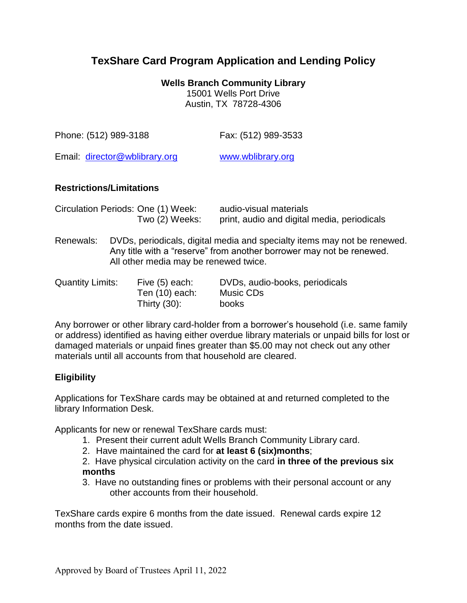# **TexShare Card Program Application and Lending Policy**

**Wells Branch Community Library** 15001 Wells Port Drive Austin, TX 78728-4306

| Phone: (512) 989-3188         | Fax: (512) 989-3533 |
|-------------------------------|---------------------|
| Email: director@wblibrary.org | www.wblibrary.org   |

#### **Restrictions/Limitations**

| Circulation Periods: One (1) Week: | audio-visual materials                      |
|------------------------------------|---------------------------------------------|
| Two (2) Weeks:                     | print, audio and digital media, periodicals |

Renewals: DVDs, periodicals, digital media and specialty items may not be renewed. Any title with a "reserve" from another borrower may not be renewed. All other media may be renewed twice.

| Quantity Limits: | Five (5) each:   | DVDs, audio-books, periodicals |
|------------------|------------------|--------------------------------|
|                  | Ten $(10)$ each: | Music CDs                      |
|                  | Thirty $(30)$ :  | books                          |

Any borrower or other library card-holder from a borrower's household (i.e. same family or address) identified as having either overdue library materials or unpaid bills for lost or damaged materials or unpaid fines greater than \$5.00 may not check out any other materials until all accounts from that household are cleared.

#### **Eligibility**

Applications for TexShare cards may be obtained at and returned completed to the library Information Desk.

Applicants for new or renewal TexShare cards must:

- 1. Present their current adult Wells Branch Community Library card.
- 2. Have maintained the card for **at least 6 (six)months**;
- 2. Have physical circulation activity on the card **in three of the previous six months**
- 3. Have no outstanding fines or problems with their personal account or any other accounts from their household.

TexShare cards expire 6 months from the date issued. Renewal cards expire 12 months from the date issued.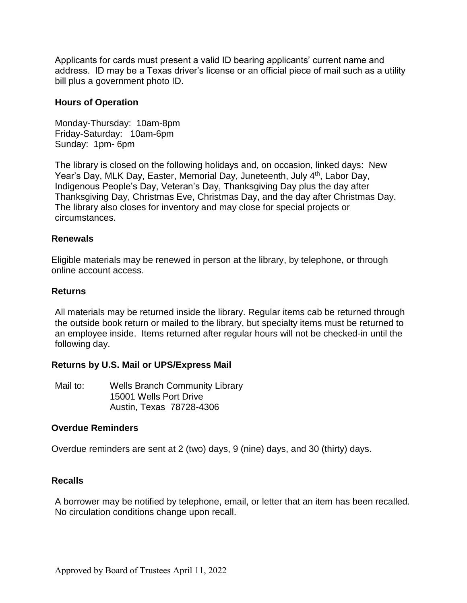Applicants for cards must present a valid ID bearing applicants' current name and address. ID may be a Texas driver's license or an official piece of mail such as a utility bill plus a government photo ID.

#### **Hours of Operation**

Monday-Thursday: 10am-8pm Friday-Saturday: 10am-6pm Sunday: 1pm- 6pm

The library is closed on the following holidays and, on occasion, linked days: New Year's Day, MLK Day, Easter, Memorial Day, Juneteenth, July 4<sup>th</sup>, Labor Day, Indigenous People's Day, Veteran's Day, Thanksgiving Day plus the day after Thanksgiving Day, Christmas Eve, Christmas Day, and the day after Christmas Day. The library also closes for inventory and may close for special projects or circumstances.

#### **Renewals**

Eligible materials may be renewed in person at the library, by telephone, or through online account access.

#### **Returns**

All materials may be returned inside the library. Regular items cab be returned through the outside book return or mailed to the library, but specialty items must be returned to an employee inside. Items returned after regular hours will not be checked-in until the following day.

#### **Returns by U.S. Mail or UPS/Express Mail**

Mail to: Wells Branch Community Library 15001 Wells Port Drive Austin, Texas 78728-4306

#### **Overdue Reminders**

Overdue reminders are sent at 2 (two) days, 9 (nine) days, and 30 (thirty) days.

#### **Recalls**

A borrower may be notified by telephone, email, or letter that an item has been recalled. No circulation conditions change upon recall.